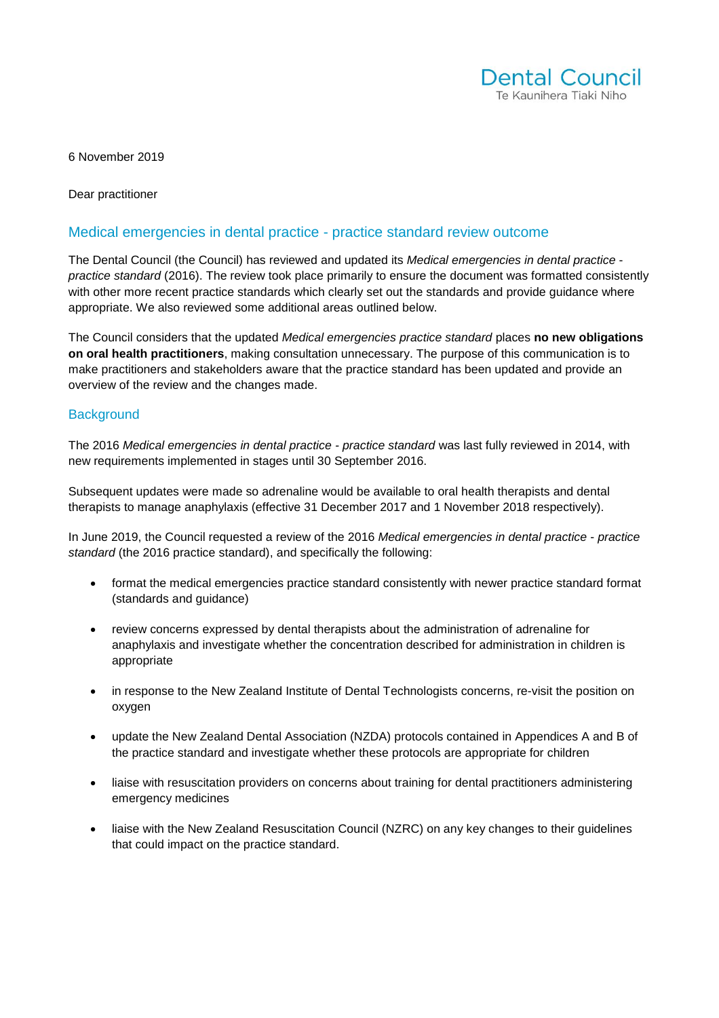

6 November 2019

Dear practitioner

## Medical emergencies in dental practice - practice standard review outcome

The Dental Council (the Council) has reviewed and updated its *Medical emergencies in dental practice practice standard* (2016). The review took place primarily to ensure the document was formatted consistently with other more recent practice standards which clearly set out the standards and provide guidance where appropriate. We also reviewed some additional areas outlined below.

The Council considers that the updated *Medical emergencies practice standard* places **no new obligations on oral health practitioners**, making consultation unnecessary. The purpose of this communication is to make practitioners and stakeholders aware that the practice standard has been updated and provide an overview of the review and the changes made.

#### **Background**

The 2016 *Medical emergencies in dental practice - practice standard* was last fully reviewed in 2014, with new requirements implemented in stages until 30 September 2016.

Subsequent updates were made so adrenaline would be available to oral health therapists and dental therapists to manage anaphylaxis (effective 31 December 2017 and 1 November 2018 respectively).

In June 2019, the Council requested a review of the 2016 *Medical emergencies in dental practice* - *practice standard* (the 2016 practice standard), and specifically the following:

- format the medical emergencies practice standard consistently with newer practice standard format (standards and guidance)
- review concerns expressed by dental therapists about the administration of adrenaline for anaphylaxis and investigate whether the concentration described for administration in children is appropriate
- in response to the New Zealand Institute of Dental Technologists concerns, re-visit the position on oxygen
- update the New Zealand Dental Association (NZDA) protocols contained in Appendices A and B of the practice standard and investigate whether these protocols are appropriate for children
- liaise with resuscitation providers on concerns about training for dental practitioners administering emergency medicines
- liaise with the New Zealand Resuscitation Council (NZRC) on any key changes to their guidelines that could impact on the practice standard.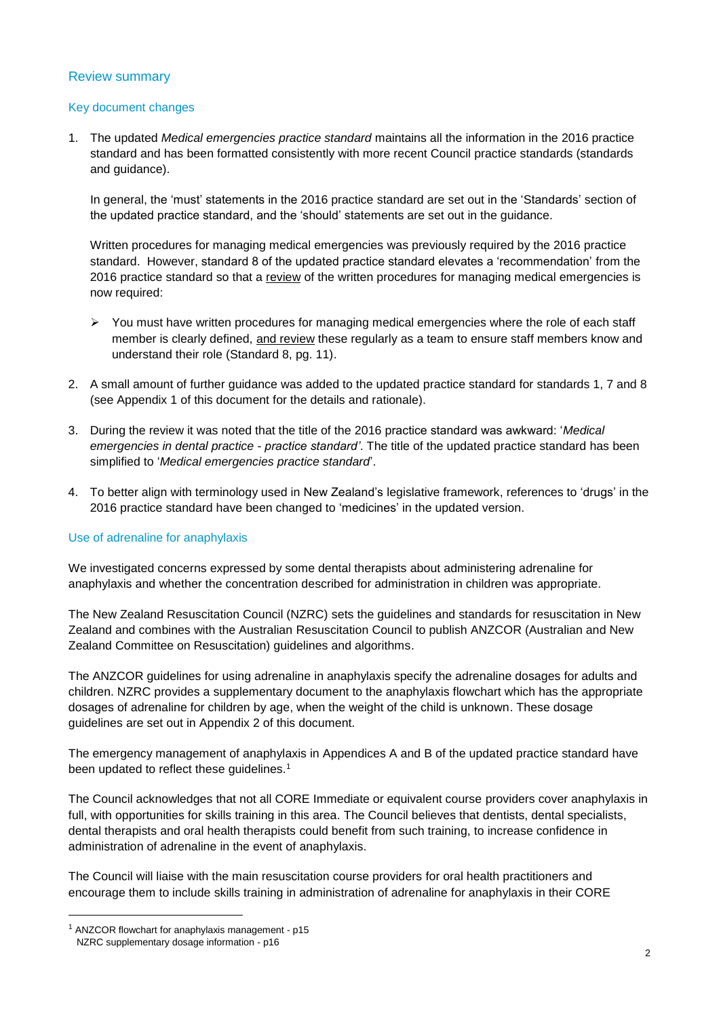# Review summary

### Key document changes

1. The updated *Medical emergencies practice standard* maintains all the information in the 2016 practice standard and has been formatted consistently with more recent Council practice standards (standards and guidance).

In general, the 'must' statements in the 2016 practice standard are set out in the 'Standards' section of the updated practice standard, and the 'should' statements are set out in the guidance.

Written procedures for managing medical emergencies was previously required by the 2016 practice standard. However, standard 8 of the updated practice standard elevates a 'recommendation' from the 2016 practice standard so that a review of the written procedures for managing medical emergencies is now required:

- $\triangleright$  You must have written procedures for managing medical emergencies where the role of each staff member is clearly defined, and review these regularly as a team to ensure staff members know and understand their role (Standard 8, pg. 11).
- 2. A small amount of further guidance was added to the updated practice standard for standards 1, 7 and 8 (see Appendix 1 of this document for the details and rationale).
- 3. During the review it was noted that the title of the 2016 practice standard was awkward: '*Medical emergencies in dental practice - practice standard'*. The title of the updated practice standard has been simplified to '*Medical emergencies practice standard*'.
- 4. To better align with terminology used in New Zealand's legislative framework, references to 'drugs' in the 2016 practice standard have been changed to 'medicines' in the updated version.

#### Use of adrenaline for anaphylaxis

We investigated concerns expressed by some dental therapists about administering adrenaline for anaphylaxis and whether the concentration described for administration in children was appropriate.

The New Zealand Resuscitation Council (NZRC) sets the guidelines and standards for resuscitation in New Zealand and combines with the Australian Resuscitation Council to publish ANZCOR (Australian and New Zealand Committee on Resuscitation) guidelines and algorithms.

The ANZCOR guidelines for using adrenaline in anaphylaxis specify the adrenaline dosages for adults and children. NZRC provides a supplementary document to the anaphylaxis flowchart which has the appropriate dosages of adrenaline for children by age, when the weight of the child is unknown. These dosage guidelines are set out in Appendix 2 of this document.

The emergency management of anaphylaxis in Appendices A and B of the updated practice standard have been updated to reflect these guidelines.<sup>1</sup>

The Council acknowledges that not all CORE Immediate or equivalent course providers cover anaphylaxis in full, with opportunities for skills training in this area. The Council believes that dentists, dental specialists, dental therapists and oral health therapists could benefit from such training, to increase confidence in administration of adrenaline in the event of anaphylaxis.

The Council will liaise with the main resuscitation course providers for oral health practitioners and encourage them to include skills training in administration of adrenaline for anaphylaxis in their CORE

 $\overline{a}$ 

<sup>1</sup> ANZCOR flowchart for anaphylaxis management - p15 NZRC supplementary dosage information - p16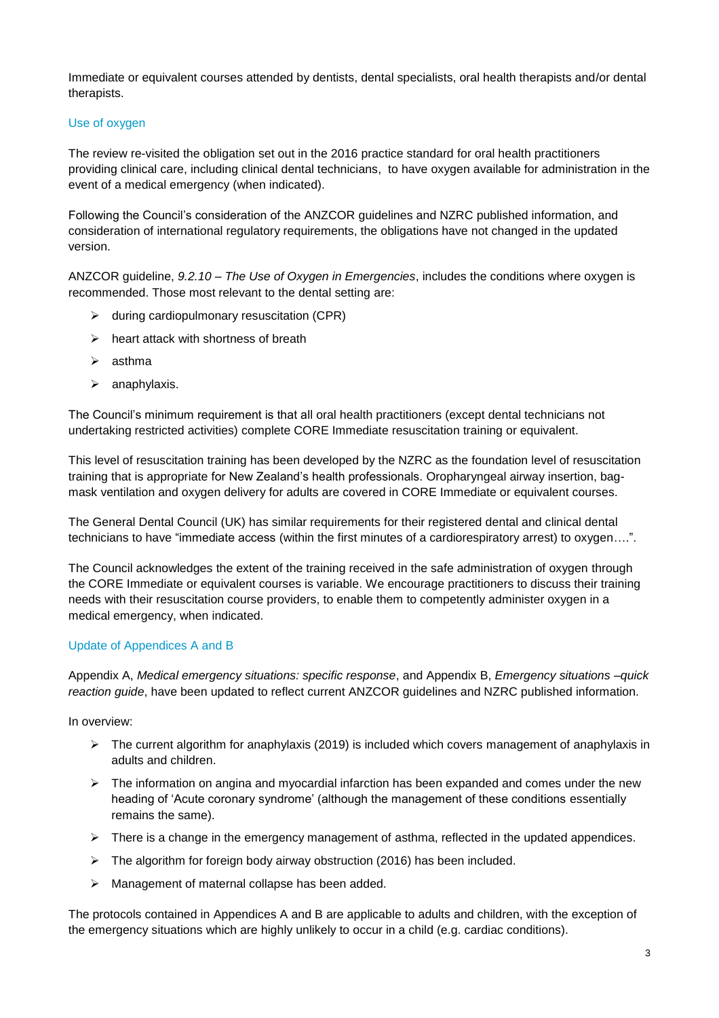Immediate or equivalent courses attended by dentists, dental specialists, oral health therapists and/or dental therapists.

### Use of oxygen

The review re-visited the obligation set out in the 2016 practice standard for oral health practitioners providing clinical care, including clinical dental technicians, to have oxygen available for administration in the event of a medical emergency (when indicated).

Following the Council's consideration of the ANZCOR guidelines and NZRC published information, and consideration of international regulatory requirements, the obligations have not changed in the updated version.

ANZCOR guideline, *9.2.10 – The Use of Oxygen in Emergencies*, includes the conditions where oxygen is recommended. Those most relevant to the dental setting are:

- $\triangleright$  during cardiopulmonary resuscitation (CPR)
- $\triangleright$  heart attack with shortness of breath
- $\triangleright$  asthma
- $\triangleright$  anaphylaxis.

The Council's minimum requirement is that all oral health practitioners (except dental technicians not undertaking restricted activities) complete CORE Immediate resuscitation training or equivalent.

This level of resuscitation training has been developed by the NZRC as the foundation level of resuscitation training that is appropriate for New Zealand's health professionals. Oropharyngeal airway insertion, bagmask ventilation and oxygen delivery for adults are covered in CORE Immediate or equivalent courses.

The General Dental Council (UK) has similar requirements for their registered dental and clinical dental technicians to have "immediate access (within the first minutes of a cardiorespiratory arrest) to oxygen….".

The Council acknowledges the extent of the training received in the safe administration of oxygen through the CORE Immediate or equivalent courses is variable. We encourage practitioners to discuss their training needs with their resuscitation course providers, to enable them to competently administer oxygen in a medical emergency, when indicated.

#### Update of Appendices A and B

Appendix A, *Medical emergency situations: specific response*, and Appendix B, *Emergency situations –quick reaction guide*, have been updated to reflect current ANZCOR guidelines and NZRC published information.

In overview:

- $\triangleright$  The current algorithm for anaphylaxis (2019) is included which covers management of anaphylaxis in adults and children.
- $\triangleright$  The information on angina and myocardial infarction has been expanded and comes under the new heading of 'Acute coronary syndrome' (although the management of these conditions essentially remains the same).
- $\triangleright$  There is a change in the emergency management of asthma, reflected in the updated appendices.
- > The algorithm for foreign body airway obstruction (2016) has been included.
- > Management of maternal collapse has been added.

The protocols contained in Appendices A and B are applicable to adults and children, with the exception of the emergency situations which are highly unlikely to occur in a child (e.g. cardiac conditions).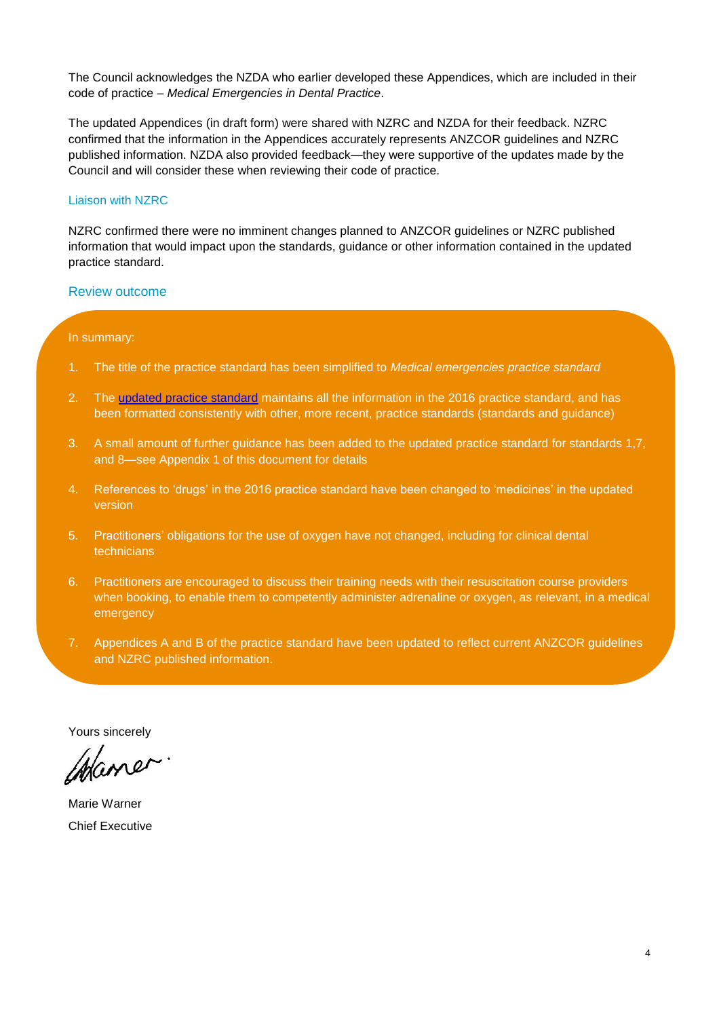The Council acknowledges the NZDA who earlier developed these Appendices, which are included in their code of practice – *Medical Emergencies in Dental Practice*.

The updated Appendices (in draft form) were shared with NZRC and NZDA for their feedback. NZRC confirmed that the information in the Appendices accurately represents ANZCOR guidelines and NZRC published information. NZDA also provided feedback—they were supportive of the updates made by the Council and will consider these when reviewing their code of practice.

#### Liaison with NZRC

NZRC confirmed there were no imminent changes planned to ANZCOR guidelines or NZRC published information that would impact upon the standards, guidance or other information contained in the updated practice standard.

#### Review outcome

#### In summary:

- 1. The title of the practice standard has been simplified to *Medical emergencies practice standard*
- 2. The updated [practice standard](https://www.dcnz.org.nz/assets/Uploads/Practice-standards/Medical-Emergencies-practice-standard.pdf) maintains all the information in the 2016 practice standard, and has been formatted consistently with other, more recent, practice standards (standards and guidance)
- 3. A small amount of further guidance has been added to the updated practice standard for standards 1,7, and 8—see Appendix 1 of this document for details
- 4. References to 'drugs' in the 2016 practice standard have been changed to 'medicines' in the updated version
- 5. Practitioners' obligations for the use of oxygen have not changed, including for clinical dental technicians
- 6. Practitioners are encouraged to discuss their training needs with their resuscitation course providers when booking, to enable them to competently administer adrenaline or oxygen, as relevant, in a medical emergency
- 7. Appendices A and B of the practice standard have been updated to reflect current ANZCOR guidelines and NZRC published information.

Yours sincerely

Mane

Marie Warner Chief Executive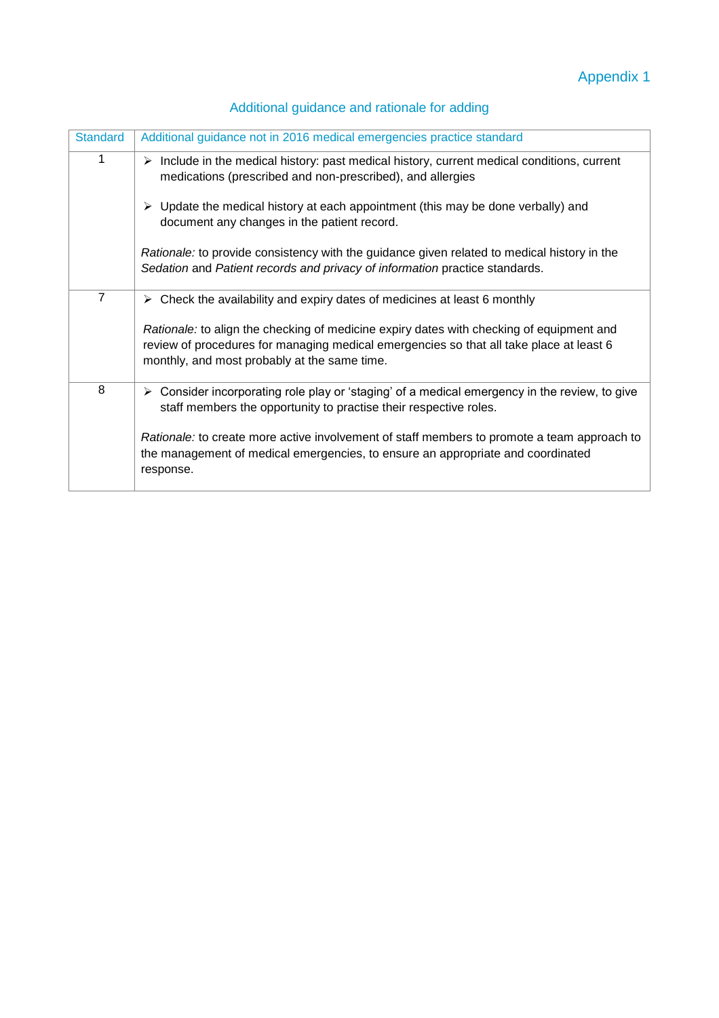| Additional guidance and rationale for adding |  |  |  |
|----------------------------------------------|--|--|--|
|                                              |  |  |  |

| <b>Standard</b> | Additional guidance not in 2016 medical emergencies practice standard                                                                                                                                                               |
|-----------------|-------------------------------------------------------------------------------------------------------------------------------------------------------------------------------------------------------------------------------------|
| 1               | $\triangleright$ Include in the medical history: past medical history, current medical conditions, current<br>medications (prescribed and non-prescribed), and allergies                                                            |
|                 | Update the medical history at each appointment (this may be done verbally) and<br>➤<br>document any changes in the patient record.                                                                                                  |
|                 | Rationale: to provide consistency with the guidance given related to medical history in the<br>Sedation and Patient records and privacy of information practice standards.                                                          |
| $\overline{7}$  | $\triangleright$ Check the availability and expiry dates of medicines at least 6 monthly                                                                                                                                            |
|                 | Rationale: to align the checking of medicine expiry dates with checking of equipment and<br>review of procedures for managing medical emergencies so that all take place at least 6<br>monthly, and most probably at the same time. |
| 8               | Consider incorporating role play or 'staging' of a medical emergency in the review, to give<br>≻<br>staff members the opportunity to practise their respective roles.                                                               |
|                 | Rationale: to create more active involvement of staff members to promote a team approach to<br>the management of medical emergencies, to ensure an appropriate and coordinated<br>response.                                         |